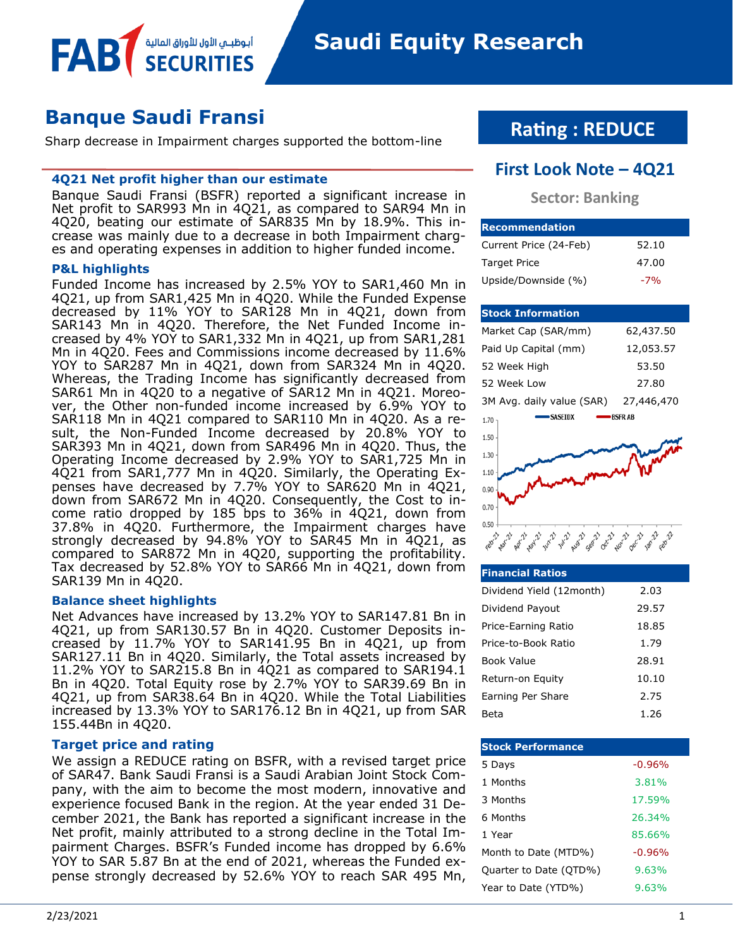**Saudi Equity Research** 

# **Banque Saudi Fransi**

Sharp decrease in Impairment charges supported the bottom-line

#### **4Q21 Net profit higher than our estimate**

أبوظبــي الأول للأوراق المالية

Banque Saudi Fransi (BSFR) reported a significant increase in Net profit to SAR993 Mn in 4Q21, as compared to SAR94 Mn in 4Q20, beating our estimate of SAR835 Mn by 18.9%. This increase was mainly due to a decrease in both Impairment charges and operating expenses in addition to higher funded income.

#### **P&L highlights**

FAB

Funded Income has increased by 2.5% YOY to SAR1,460 Mn in 4Q21, up from SAR1,425 Mn in 4Q20. While the Funded Expense decreased by 11% YOY to SAR128 Mn in 4Q21, down from SAR143 Mn in 4Q20. Therefore, the Net Funded Income increased by 4% YOY to SAR1,332 Mn in 4Q21, up from SAR1,281 Mn in 4Q20. Fees and Commissions income decreased by 11.6% YOY to SAR287 Mn in 4Q21, down from SAR324 Mn in 4Q20. Whereas, the Trading Income has significantly decreased from SAR61 Mn in 4Q20 to a negative of SAR12 Mn in 4Q21. Moreover, the Other non-funded income increased by 6.9% YOY to SAR118 Mn in 4Q21 compared to SAR110 Mn in 4Q20. As a result, the Non-Funded Income decreased by 20.8% YOY to SAR393 Mn in 4Q21, down from SAR496 Mn in 4Q20. Thus, the Operating Income decreased by 2.9% YOY to SAR1,725 Mn in 4Q21 from SAR1,777 Mn in 4Q20. Similarly, the Operating Expenses have decreased by 7.7% YOY to SAR620 Mn in 4Q21, down from SAR672 Mn in 4Q20. Consequently, the Cost to income ratio dropped by 185 bps to 36% in 4Q21, down from 37.8% in 4Q20. Furthermore, the Impairment charges have strongly decreased by 94.8% YOY to SAR45 Mn in 4Q21, as compared to SAR872 Mn in 4Q20, supporting the profitability. Tax decreased by 52.8% YOY to SAR66 Mn in 4Q21, down from SAR139 Mn in 4Q20.

#### **Balance sheet highlights**

Net Advances have increased by 13.2% YOY to SAR147.81 Bn in 4Q21, up from SAR130.57 Bn in 4Q20. Customer Deposits increased by 11.7% YOY to SAR141.95 Bn in 4Q21, up from SAR127.11 Bn in 4Q20. Similarly, the Total assets increased by 11.2% YOY to SAR215.8 Bn in 4Q21 as compared to SAR194.1 Bn in 4Q20. Total Equity rose by 2.7% YOY to SAR39.69 Bn in 4Q21, up from SAR38.64 Bn in 4Q20. While the Total Liabilities increased by 13.3% YOY to SAR176.12 Bn in 4Q21, up from SAR 155.44Bn in 4Q20.

#### **Target price and rating**

We assign a REDUCE rating on BSFR, with a revised target price of SAR47. Bank Saudi Fransi is a Saudi Arabian Joint Stock Company, with the aim to become the most modern, innovative and experience focused Bank in the region. At the year ended 31 December 2021, the Bank has reported a significant increase in the Net profit, mainly attributed to a strong decline in the Total Impairment Charges. BSFR's Funded income has dropped by 6.6% YOY to SAR 5.87 Bn at the end of 2021, whereas the Funded expense strongly decreased by 52.6% YOY to reach SAR 495 Mn,

# **Rating : REDUCE**

## **First Look Note – 4Q21**

## **Sector: Banking**

| <b>Recommendation</b>  |       |  |  |  |  |
|------------------------|-------|--|--|--|--|
| Current Price (24-Feb) | 52.10 |  |  |  |  |
| <b>Target Price</b>    | 47.00 |  |  |  |  |
| Upside/Downside (%)    | $-7%$ |  |  |  |  |

#### **Stock Information**

| Market Cap (SAR/mm)       | 62,437.50     |
|---------------------------|---------------|
| Paid Up Capital (mm)      | 12,053.57     |
| 52 Week High              | 53.50         |
| 52 Week Low               | 27.80         |
| 3M Avg. daily value (SAR) | 27,446,470    |
| <b>SASEIDX</b><br>$170 -$ | <b>BSFRAB</b> |



## **Financial Ratios** Dividend Yield (12month) 2.03 Dividend Payout 29.57 Price-Earning Ratio 18.85 Price-to-Book Ratio 1.79 Book Value 28.91 Return-on Equity 10.10 Earning Per Share 2.75 Beta 1.26

| <b>Stock Performance</b> |          |
|--------------------------|----------|
| 5 Days                   | $-0.96%$ |
| 1 Months                 | 3.81%    |
| 3 Months                 | 17.59%   |
| 6 Months                 | 26.34%   |
| 1 Year                   | 85.66%   |
| Month to Date (MTD%)     | $-0.96%$ |
| Quarter to Date (QTD%)   | 9.63%    |
| Year to Date (YTD%)      | 9.63%    |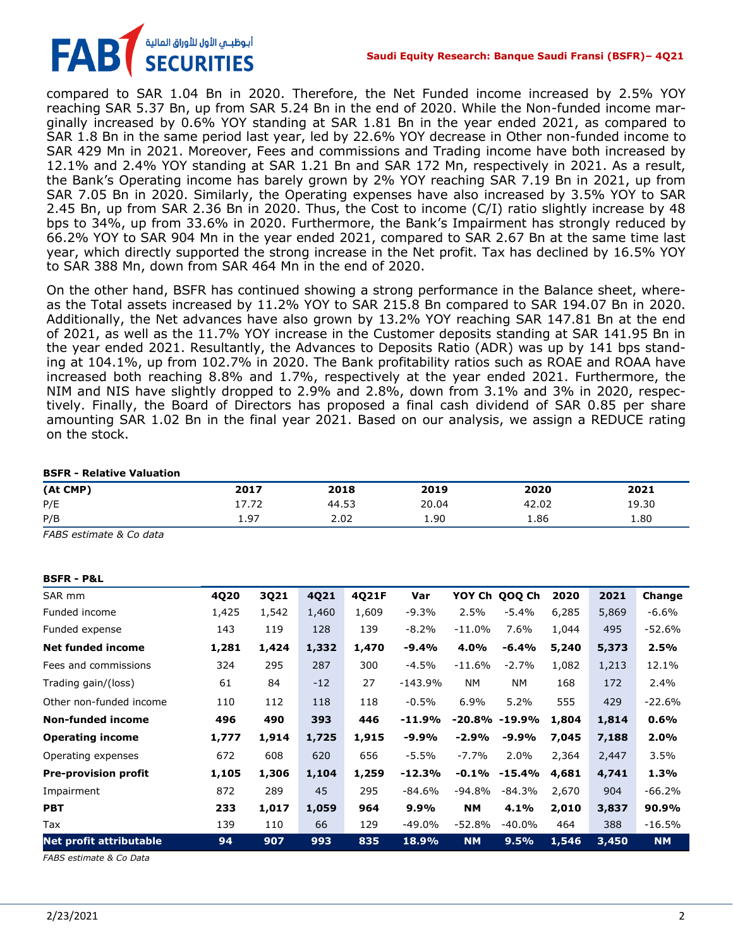

compared to SAR 1.04 Bn in 2020. Therefore, the Net Funded income increased by 2.5% YOY reaching SAR 5.37 Bn, up from SAR 5.24 Bn in the end of 2020. While the Non-funded income marginally increased by 0.6% YOY standing at SAR 1.81 Bn in the year ended 2021, as compared to SAR 1.8 Bn in the same period last year, led by 22.6% YOY decrease in Other non-funded income to SAR 429 Mn in 2021. Moreover, Fees and commissions and Trading income have both increased by 12.1% and 2.4% YOY standing at SAR 1.21 Bn and SAR 172 Mn, respectively in 2021. As a result, the Bank's Operating income has barely grown by 2% YOY reaching SAR 7.19 Bn in 2021, up from SAR 7.05 Bn in 2020. Similarly, the Operating expenses have also increased by 3.5% YOY to SAR 2.45 Bn, up from SAR 2.36 Bn in 2020. Thus, the Cost to income (C/I) ratio slightly increase by 48 bps to 34%, up from 33.6% in 2020. Furthermore, the Bank's Impairment has strongly reduced by 66.2% YOY to SAR 904 Mn in the year ended 2021, compared to SAR 2.67 Bn at the same time last year, which directly supported the strong increase in the Net profit. Tax has declined by 16.5% YOY to SAR 388 Mn, down from SAR 464 Mn in the end of 2020.

On the other hand, BSFR has continued showing a strong performance in the Balance sheet, whereas the Total assets increased by 11.2% YOY to SAR 215.8 Bn compared to SAR 194.07 Bn in 2020. Additionally, the Net advances have also grown by 13.2% YOY reaching SAR 147.81 Bn at the end of 2021, as well as the 11.7% YOY increase in the Customer deposits standing at SAR 141.95 Bn in the year ended 2021. Resultantly, the Advances to Deposits Ratio (ADR) was up by 141 bps standing at 104.1%, up from 102.7% in 2020. The Bank profitability ratios such as ROAE and ROAA have increased both reaching 8.8% and 1.7%, respectively at the year ended 2021. Furthermore, the NIM and NIS have slightly dropped to 2.9% and 2.8%, down from 3.1% and 3% in 2020, respectively. Finally, the Board of Directors has proposed a final cash dividend of SAR 0.85 per share amounting SAR 1.02 Bn in the final year 2021. Based on our analysis, we assign a REDUCE rating on the stock.

#### **BSFR - Relative Valuation**

| (At CMP) | 2017          | 2018  | 2019  | 2020  | 2021  |
|----------|---------------|-------|-------|-------|-------|
| P/E      | רד דו<br>17.Z | 44.53 | 20.04 | 42.02 | 19.30 |
| P/B      | 1.97          | 2.02  | 1.90  | 1.86  | 1.80  |

*FABS estimate & Co data*

#### **BSFR - P&L**

| SAR mm                         | 4Q20  | 3Q21  | 4Q21  | 4021F | Var       | YOY Ch    | QOQ Ch            | 2020  | 2021  | Change    |
|--------------------------------|-------|-------|-------|-------|-----------|-----------|-------------------|-------|-------|-----------|
| Funded income                  | 1,425 | 1,542 | 1,460 | 1,609 | $-9.3%$   | 2.5%      | -5.4%             | 6,285 | 5,869 | $-6.6%$   |
| Funded expense                 | 143   | 119   | 128   | 139   | -8.2%     | $-11.0%$  | 7.6%              | 1,044 | 495   | $-52.6%$  |
| <b>Net funded income</b>       | 1,281 | 1,424 | 1,332 | 1,470 | $-9.4%$   | 4.0%      | -6.4%             | 5,240 | 5,373 | 2.5%      |
| Fees and commissions           | 324   | 295   | 287   | 300   | $-4.5%$   | $-11.6%$  | $-2.7%$           | 1,082 | 1,213 | 12.1%     |
| Trading gain/(loss)            | 61    | 84    | $-12$ | 27    | $-143.9%$ | <b>NM</b> | NM                | 168   | 172   | 2.4%      |
| Other non-funded income        | 110   | 112   | 118   | 118   | $-0.5%$   | 6.9%      | 5.2%              | 555   | 429   | $-22.6%$  |
| <b>Non-funded income</b>       | 496   | 490   | 393   | 446   | $-11.9%$  |           | $-20.8\% -19.9\%$ | 1,804 | 1,814 | 0.6%      |
| <b>Operating income</b>        | 1,777 | 1,914 | 1,725 | 1,915 | $-9.9%$   | $-2.9%$   | $-9.9%$           | 7,045 | 7,188 | 2.0%      |
| Operating expenses             | 672   | 608   | 620   | 656   | $-5.5%$   | $-7.7%$   | 2.0%              | 2,364 | 2,447 | 3.5%      |
| <b>Pre-provision profit</b>    | 1,105 | 1,306 | 1,104 | 1,259 | $-12.3%$  | $-0.1%$   | $-15.4%$          | 4,681 | 4,741 | 1.3%      |
| Impairment                     | 872   | 289   | 45    | 295   | $-84.6%$  | $-94.8%$  | $-84.3%$          | 2,670 | 904   | $-66.2%$  |
| <b>PBT</b>                     | 233   | 1,017 | 1,059 | 964   | 9.9%      | <b>NM</b> | 4.1%              | 2,010 | 3,837 | 90.9%     |
| Tax                            | 139   | 110   | 66    | 129   | $-49.0%$  | $-52.8%$  | $-40.0\%$         | 464   | 388   | $-16.5%$  |
| <b>Net profit attributable</b> | 94    | 907   | 993   | 835   | 18.9%     | <b>NM</b> | 9.5%              | 1,546 | 3,450 | <b>NM</b> |

*FABS estimate & Co Data*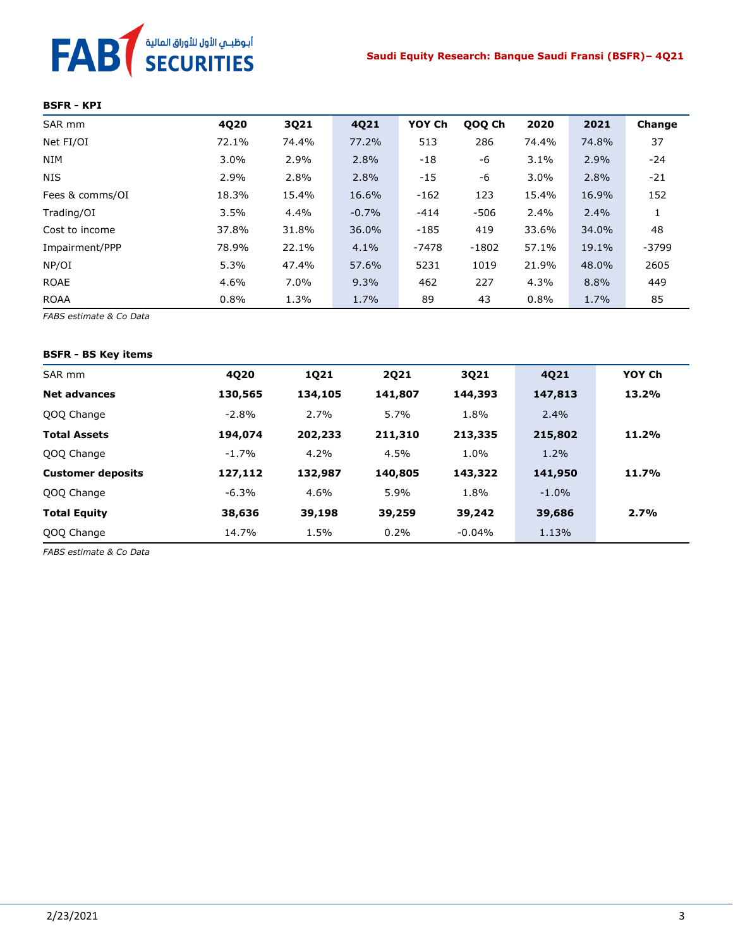# FAB<sup>T</sup> SECURITIES

#### **BSFR - KPI**

| SAR mm          | 4Q20  | 3Q21    | 4Q21    | YOY Ch  | QOQ Ch  | 2020    | 2021    | Change  |
|-----------------|-------|---------|---------|---------|---------|---------|---------|---------|
| Net FI/OI       | 72.1% | 74.4%   | 77.2%   | 513     | 286     | 74.4%   | 74.8%   | 37      |
| <b>NIM</b>      | 3.0%  | 2.9%    | 2.8%    | $-18$   | -6      | 3.1%    | 2.9%    | $-24$   |
| <b>NIS</b>      | 2.9%  | 2.8%    | 2.8%    | $-15$   | -6      | $3.0\%$ | 2.8%    | $-21$   |
| Fees & comms/OI | 18.3% | 15.4%   | 16.6%   | $-162$  | 123     | 15.4%   | 16.9%   | 152     |
| Trading/OI      | 3.5%  | 4.4%    | $-0.7%$ | $-414$  | $-506$  | 2.4%    | $2.4\%$ |         |
| Cost to income  | 37.8% | 31.8%   | 36.0%   | $-185$  | 419     | 33.6%   | 34.0%   | 48      |
| Impairment/PPP  | 78.9% | 22.1%   | 4.1%    | $-7478$ | $-1802$ | 57.1%   | 19.1%   | $-3799$ |
| NP/OI           | 5.3%  | 47.4%   | 57.6%   | 5231    | 1019    | 21.9%   | 48.0%   | 2605    |
| <b>ROAE</b>     | 4.6%  | $7.0\%$ | 9.3%    | 462     | 227     | 4.3%    | 8.8%    | 449     |
| <b>ROAA</b>     | 0.8%  | 1.3%    | 1.7%    | 89      | 43      | 0.8%    | 1.7%    | 85      |

*FABS estimate & Co Data*

#### **BSFR - BS Key items**

| SAR mm                   | 4Q20     | <b>1Q21</b> | <b>2Q21</b> | 3Q21     | 4Q21    | YOY Ch |
|--------------------------|----------|-------------|-------------|----------|---------|--------|
| <b>Net advances</b>      | 130,565  | 134,105     | 141,807     | 144,393  | 147,813 | 13.2%  |
| QOQ Change               | $-2.8\%$ | 2.7%        | 5.7%        | 1.8%     | $2.4\%$ |        |
| <b>Total Assets</b>      | 194,074  | 202,233     | 211,310     | 213,335  | 215,802 | 11.2%  |
| QOQ Change               | $-1.7%$  | $4.2\%$     | 4.5%        | 1.0%     | 1.2%    |        |
| <b>Customer deposits</b> | 127,112  | 132,987     | 140,805     | 143,322  | 141,950 | 11.7%  |
| QOQ Change               | $-6.3%$  | 4.6%        | 5.9%        | 1.8%     | $-1.0%$ |        |
| <b>Total Equity</b>      | 38,636   | 39,198      | 39,259      | 39,242   | 39,686  | 2.7%   |
| QOQ Change               | 14.7%    | 1.5%        | 0.2%        | $-0.04%$ | 1.13%   |        |

*FABS estimate & Co Data*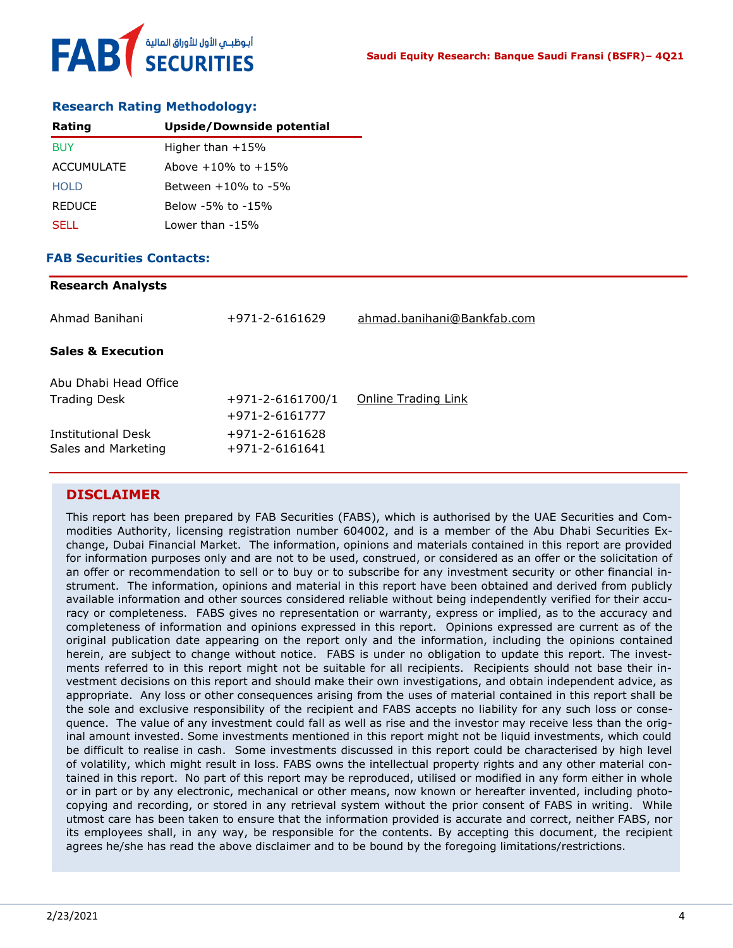#### **Research Rating Methodology:**

| Rating            | <b>Upside/Downside potential</b> |
|-------------------|----------------------------------|
| <b>BUY</b>        | Higher than $+15%$               |
| <b>ACCUMULATE</b> | Above $+10\%$ to $+15\%$         |
| HOI D             | Between $+10\%$ to $-5\%$        |
| <b>REDUCE</b>     | Below -5% to -15%                |
| SELL.             | Lower than -15%                  |

### **FAB Securities Contacts:**

**Research Analysts**

| Research Analysts                         |                                          |                            |
|-------------------------------------------|------------------------------------------|----------------------------|
| Ahmad Banihani                            | $+971 - 2 - 6161629$                     | ahmad.banihani@Bankfab.com |
| <b>Sales &amp; Execution</b>              |                                          |                            |
| Abu Dhabi Head Office                     |                                          |                            |
| <b>Trading Desk</b>                       | $+971 - 2 - 6161700/1$<br>+971-2-6161777 | Online Trading Link        |
| Institutional Desk<br>Sales and Marketing | +971-2-6161628<br>$+971 - 2 - 6161641$   |                            |
|                                           |                                          |                            |

## **DISCLAIMER**

This report has been prepared by FAB Securities (FABS), which is authorised by the UAE Securities and Commodities Authority, licensing registration number 604002, and is a member of the Abu Dhabi Securities Exchange, Dubai Financial Market. The information, opinions and materials contained in this report are provided for information purposes only and are not to be used, construed, or considered as an offer or the solicitation of an offer or recommendation to sell or to buy or to subscribe for any investment security or other financial instrument. The information, opinions and material in this report have been obtained and derived from publicly available information and other sources considered reliable without being independently verified for their accuracy or completeness. FABS gives no representation or warranty, express or implied, as to the accuracy and completeness of information and opinions expressed in this report. Opinions expressed are current as of the original publication date appearing on the report only and the information, including the opinions contained herein, are subject to change without notice. FABS is under no obligation to update this report. The investments referred to in this report might not be suitable for all recipients. Recipients should not base their investment decisions on this report and should make their own investigations, and obtain independent advice, as appropriate. Any loss or other consequences arising from the uses of material contained in this report shall be the sole and exclusive responsibility of the recipient and FABS accepts no liability for any such loss or consequence. The value of any investment could fall as well as rise and the investor may receive less than the original amount invested. Some investments mentioned in this report might not be liquid investments, which could be difficult to realise in cash. Some investments discussed in this report could be characterised by high level of volatility, which might result in loss. FABS owns the intellectual property rights and any other material contained in this report. No part of this report may be reproduced, utilised or modified in any form either in whole or in part or by any electronic, mechanical or other means, now known or hereafter invented, including photocopying and recording, or stored in any retrieval system without the prior consent of FABS in writing. While utmost care has been taken to ensure that the information provided is accurate and correct, neither FABS, nor its employees shall, in any way, be responsible for the contents. By accepting this document, the recipient agrees he/she has read the above disclaimer and to be bound by the foregoing limitations/restrictions.